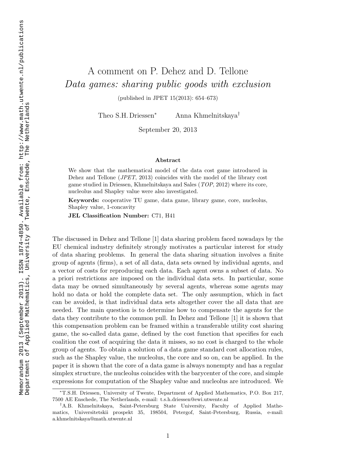## A comment on P. Dehez and D. Tellone Data games: sharing public goods with exclusion

(published in JPET 15(2013): 654–673)

Theo S.H. Driessen <sup>∗</sup> Anna Khmelnitskaya †

September 20, 2013

## Abstract

We show that the mathematical model of the data cost game introduced in Dehez and Tellone (JPET, 2013) coincides with the model of the library cost game studied in Driessen, Khmelnitskaya and Sales (TOP, 2012) where its core, nucleolus and Shapley value were also investigated.

Keywords: cooperative TU game, data game, library game, core, nucleolus, Shapley value, 1-concavity

JEL Classification Number: C71, H41

The discussed in Dehez and Tellone [1] data sharing problem faced nowadays by the EU chemical industry definitely strongly motivates a particular interest for study of data sharing problems. In general the data sharing situation involves <sup>a</sup> finite group of agents (firms), a set of all data, data sets owned by individual agents, and <sup>a</sup> vector of costs for reproducing each data. Each agent owns <sup>a</sup> subset of data. No <sup>a</sup> priori restrictions are imposed on the individual data sets. In particular, some data may be owned simultaneously by several agents, whereas some agents may hold no data or hold the complete data set. The only assumption, which in fact can be avoided, is that individual data sets altogether cover the all data that are needed. The main question is to determine how to compensate the agents for the data they contribute to the common pull. In Dehez and Tellone [1] it is shown that this compensation problem can be framed within a transferable utility cost sharing game, the so-called data game, defined by the cost function that specifies for each coalition the cost of acquiring the data it misses, so no cost is charged to the whole group of agents. To obtain <sup>a</sup> solution of <sup>a</sup> data game standard cost allocation rules, such as the Shapley value, the nucleolus, the core and so on, can be applied. In the paper it is shown that the core of <sup>a</sup> data game is always nonempty and has <sup>a</sup> regular simplex structure, the nucleolus coincides with the barycenter of the core, and simple expressions for computation of the Shapley value and nucleolus are introduced. We

<sup>∗</sup>T.S.H. Driessen, University of Twente, Department of Applied Mathematics, P.O. Box 217, 7500 AE Enschede, The Netherlands, e-mail: t.s.h.driessen@ewi.utwente.nl

<sup>†</sup>A.B. Khmelnitskaya, Saint-Petersburg State University, Faculty of Applied Mathematics, Universitetskii prospekt 35, 198504, Petergof, Saint-Petersburg, Russia, e-mail: a.khmelnitskaya@math.utwente.nl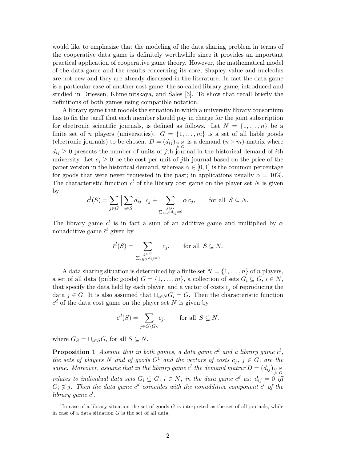would like to emphasize that the modeling of the data sharing problem in terms of the cooperative data game is definitely worthwhile since it provides an important practical application of cooperative game theory. However, the mathematical model of the data game and the results concerning its core, Shapley value and nucleolus are not new and they are already discussed in the literature. In fact the data game is a particular case of another cost game, the so-called library game, introduced and studied in Driessen, Khmelnitskaya, and Sales [3]. To show that recall briefly the definitions of both games using compatible notation.

A library game that models the situation in which a university library consortium has to fix the tariff that each member should pay in charge for the joint subscription for electronic scientific journals, is defined as follows. Let  $N = \{1, \ldots, n\}$  be a finite set of *n* players (universities).  $G = \{1, \ldots, m\}$  is a set of all liable goods (electronic journals) to be chosen.  $D = (d_{ij})_{\substack{i \in N \ j \in G}}$  is a demand  $(n \times m)$ -matrix where  $d_{ij} \geq 0$  presents the number of units of jth journal in the historical demand of ith university. Let  $c_j \geq 0$  be the cost per unit of jth journal based on the price of the paper version in the historical demand, whereas  $\alpha \in [0, 1]$  is the common percentage for goods that were never requested in the past; in applications usually  $\alpha = 10\%$ . The characteristic function  $c^l$  of the library cost game on the player set N is given by

$$
c^{l}(S) = \sum_{j \in G} \Big[ \sum_{i \in S} d_{ij} \Big] c_j + \sum_{\substack{j \in G \\ \sum_{i \in S} d_{ij} = 0}} \alpha c_j, \quad \text{for all } S \subseteq N.
$$

The library game  $c^l$  is in fact a sum of an additive game and multiplied by  $\alpha$ nonadditive game  $\bar{c}^l$  given by

$$
\overline{c}^{l}(S) = \sum_{\substack{j \in G \\ \sum_{i \in S} d_{ij} = 0}} c_{j}, \quad \text{for all } S \subseteq N.
$$

A data sharing situation is determined by a finite set  $N = \{1, \ldots, n\}$  of n players, a set of all data (public goods)  $G = \{1, \ldots, m\}$ , a collection of sets  $G_i \subseteq G$ ,  $i \in N$ , that specify the data held by each player, and a vector of costs  $c_j$  of reproducing the data  $j \in G$ . It is also assumed that  $\bigcup_{i \in N} G_i = G$ . Then the characteristic function  $c<sup>d</sup>$  of the data cost game on the player set N is given by

$$
c^d(S) = \sum_{j \in G \setminus G_S} c_j, \quad \text{for all } S \subseteq N.
$$

where  $G_S = \bigcup_{i \in S} G_i$  for all  $S \subseteq N$ .

**Proposition 1** Assume that in both games, a data game  $c^d$  and a library game  $c^l$ , the sets of players N and of goods  $G^1$  and the vectors of costs  $c_j$ ,  $j \in G$ , are the same. Moreover, assume that in the library game  $c^l$  the demand matrix  $D = (d_{ij})_{\substack{i \in N \ j \in G}}$ relates to individual data sets  $G_i \subseteq G$ ,  $i \in N$ , in the data game  $c^d$  as:  $d_{ij} = 0$  iff  $G_i \not\ni j$ . Then the data game  $c^d$  coincides with the nonadditive component  $\bar{c}^l$  of the library game  $c^l$ .

<sup>&</sup>lt;sup>1</sup>In case of a library situation the set of goods  $G$  is interpreted as the set of all journals, while in case of a data situation  $G$  is the set of all data.